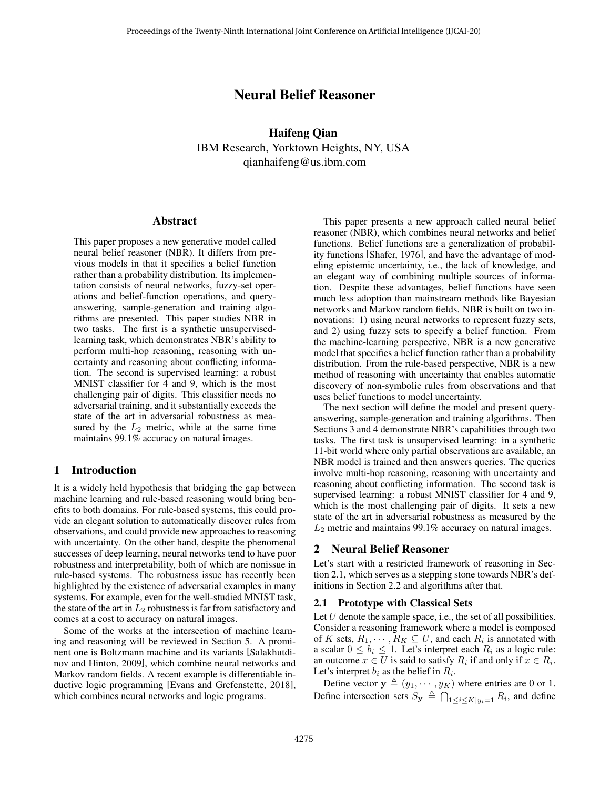# Neural Belief Reasoner

Haifeng Qian IBM Research, Yorktown Heights, NY, USA qianhaifeng@us.ibm.com

### Abstract

This paper proposes a new generative model called neural belief reasoner (NBR). It differs from previous models in that it specifies a belief function rather than a probability distribution. Its implementation consists of neural networks, fuzzy-set operations and belief-function operations, and queryanswering, sample-generation and training algorithms are presented. This paper studies NBR in two tasks. The first is a synthetic unsupervisedlearning task, which demonstrates NBR's ability to perform multi-hop reasoning, reasoning with uncertainty and reasoning about conflicting information. The second is supervised learning: a robust MNIST classifier for 4 and 9, which is the most challenging pair of digits. This classifier needs no adversarial training, and it substantially exceeds the state of the art in adversarial robustness as measured by the  $L_2$  metric, while at the same time maintains 99.1% accuracy on natural images.

# 1 Introduction

It is a widely held hypothesis that bridging the gap between machine learning and rule-based reasoning would bring benefits to both domains. For rule-based systems, this could provide an elegant solution to automatically discover rules from observations, and could provide new approaches to reasoning with uncertainty. On the other hand, despite the phenomenal successes of deep learning, neural networks tend to have poor robustness and interpretability, both of which are nonissue in rule-based systems. The robustness issue has recently been highlighted by the existence of adversarial examples in many systems. For example, even for the well-studied MNIST task, the state of the art in  $L_2$  robustness is far from satisfactory and comes at a cost to accuracy on natural images.

Some of the works at the intersection of machine learning and reasoning will be reviewed in Section [5.](#page-5-0) A prominent one is Boltzmann machine and its variants [\[Salakhutdi](#page-7-0)[nov and Hinton, 2009\]](#page-7-0), which combine neural networks and Markov random fields. A recent example is differentiable inductive logic programming [\[Evans and Grefenstette, 2018\]](#page-6-0), which combines neural networks and logic programs.

This paper presents a new approach called neural belief reasoner (NBR), which combines neural networks and belief functions. Belief functions are a generalization of probability functions [\[Shafer, 1976\]](#page-7-1), and have the advantage of modeling epistemic uncertainty, i.e., the lack of knowledge, and an elegant way of combining multiple sources of information. Despite these advantages, belief functions have seen much less adoption than mainstream methods like Bayesian networks and Markov random fields. NBR is built on two innovations: 1) using neural networks to represent fuzzy sets, and 2) using fuzzy sets to specify a belief function. From the machine-learning perspective, NBR is a new generative model that specifies a belief function rather than a probability distribution. From the rule-based perspective, NBR is a new method of reasoning with uncertainty that enables automatic discovery of non-symbolic rules from observations and that uses belief functions to model uncertainty.

The next section will define the model and present queryanswering, sample-generation and training algorithms. Then Sections [3](#page-2-0) and [4](#page-3-0) demonstrate NBR's capabilities through two tasks. The first task is unsupervised learning: in a synthetic 11-bit world where only partial observations are available, an NBR model is trained and then answers queries. The queries involve multi-hop reasoning, reasoning with uncertainty and reasoning about conflicting information. The second task is supervised learning: a robust MNIST classifier for 4 and 9, which is the most challenging pair of digits. It sets a new state of the art in adversarial robustness as measured by the  $L_2$  metric and maintains 99.1% accuracy on natural images.

# 2 Neural Belief Reasoner

Let's start with a restricted framework of reasoning in Section [2.1,](#page-0-0) which serves as a stepping stone towards NBR's definitions in Section [2.2](#page-1-0) and algorithms after that.

### <span id="page-0-0"></span>2.1 Prototype with Classical Sets

Let  $U$  denote the sample space, i.e., the set of all possibilities. Consider a reasoning framework where a model is composed of K sets,  $R_1, \dots, R_K \subseteq U$ , and each  $R_i$  is annotated with a scalar  $0 \le b_i \le 1$ . Let's interpret each  $R_i$  as a logic rule: an outcome  $x \in U$  is said to satisfy  $R_i$  if and only if  $x \in R_i$ . Let's interpret  $b_i$  as the belief in  $R_i$ .

Define vector  $y \triangleq (y_1, \dots, y_K)$  where entries are 0 or 1. Define intersection sets  $S_{\mathbf{y}} \triangleq \bigcap_{1 \leq i \leq K} \bigcup_{y_i=1} R_i$ , and define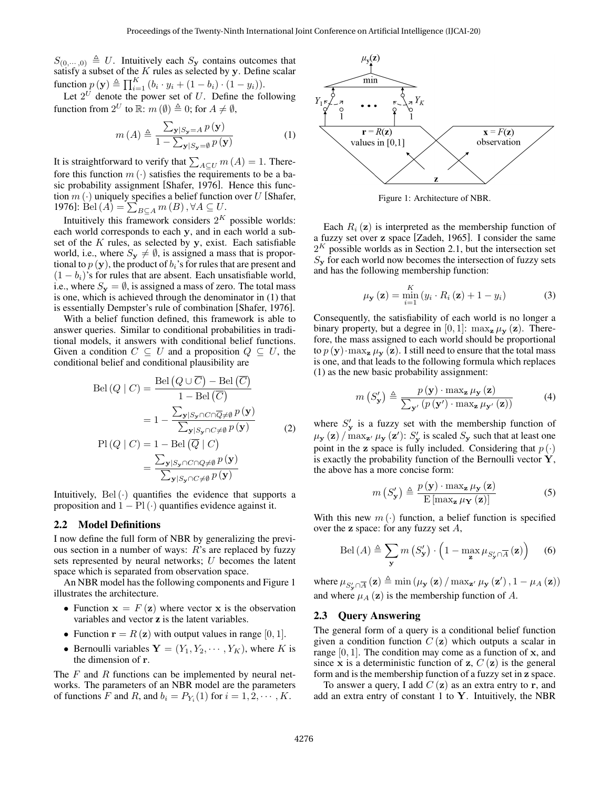$S_{(0, \cdots, 0)} \triangleq U$ . Intuitively each  $S_{\mathbf{y}}$  contains outcomes that satisfy a subset of the  $K$  rules as selected by  $y$ . Define scalar function  $p(\mathbf{y}) \triangleq \prod_{i=1}^{K} (b_i \cdot y_i + (1 - b_i) \cdot (1 - y_i)).$ 

Let  $2^U$  denote the power set of U. Define the following function from  $2^U$  to  $\mathbb{R}$ :  $m(\emptyset) \triangleq 0$ ; for  $A \neq \emptyset$ ,

$$
m(A) \triangleq \frac{\sum_{\mathbf{y}|S_{\mathbf{y}}=A} p(\mathbf{y})}{1 - \sum_{\mathbf{y}|S_{\mathbf{y}}=\emptyset} p(\mathbf{y})}
$$
(1)

It is straightforward to verify that  $\sum_{A \subseteq U} m(A) = 1$ . Therefore this function  $m(\cdot)$  satisfies the requirements to be a basic probability assignment [\[Shafer, 1976\]](#page-7-1). Hence this function  $m(\cdot)$  uniquely specifies a belief function over U [\[Shafer,](#page-7-1) [1976\]](#page-7-1): Bel  $(A) = \sum_{B \subseteq A} m(B)$ ,  $\forall A \subseteq U$ .

Intuitively this framework considers  $2<sup>K</sup>$  possible worlds: each world corresponds to each y, and in each world a subset of the  $K$  rules, as selected by  $y$ , exist. Each satisfiable world, i.e., where  $S_{y} \neq \emptyset$ , is assigned a mass that is proportional to  $p(\mathbf{y})$ , the product of  $b_i$ 's for rules that are present and  $(1 - b_i)$ 's for rules that are absent. Each unsatisfiable world, i.e., where  $S_{\mathbf{y}} = \emptyset$ , is assigned a mass of zero. The total mass is one, which is achieved through the denominator in [\(1\)](#page-1-1) that is essentially Dempster's rule of combination [\[Shafer, 1976\]](#page-7-1).

With a belief function defined, this framework is able to answer queries. Similar to conditional probabilities in traditional models, it answers with conditional belief functions. Given a condition  $C \subseteq U$  and a proposition  $Q \subseteq U$ , the conditional belief and conditional plausibility are

$$
Bel(Q | C) = \frac{Bel(Q \cup \overline{C}) - Bel(\overline{C})}{1 - Bel(\overline{C})}
$$
  

$$
= 1 - \frac{\sum_{\mathbf{y} | S_{\mathbf{y}} \cap C \cap \overline{Q} \neq \emptyset} p(\mathbf{y})}{\sum_{\mathbf{y} | S_{\mathbf{y}} \cap C \neq \emptyset} p(\mathbf{y})}
$$
(2)  

$$
Pl(Q | C) = 1 - Bel(\overline{Q} | C)
$$
  

$$
= \frac{\sum_{\mathbf{y} | S_{\mathbf{y}} \cap C \cap Q \neq \emptyset} p(\mathbf{y})}{\sum_{\mathbf{y} | S_{\mathbf{y}} \cap C \neq \emptyset} p(\mathbf{y})}
$$

Intuitively,  $Bel(\cdot)$  quantifies the evidence that supports a proposition and  $1 - \text{Pl}(\cdot)$  quantifies evidence against it.

# <span id="page-1-0"></span>2.2 Model Definitions

I now define the full form of NBR by generalizing the previous section in a number of ways:  $R$ 's are replaced by fuzzy sets represented by neural networks; U becomes the latent space which is separated from observation space.

An NBR model has the following components and Figure [1](#page-1-2) illustrates the architecture.

- Function  $x = F(z)$  where vector x is the observation variables and vector z is the latent variables.
- Function  $\mathbf{r} = R(\mathbf{z})$  with output values in range [0, 1].
- Bernoulli variables  $Y = (Y_1, Y_2, \dots, Y_K)$ , where K is the dimension of r.

The  $F$  and  $R$  functions can be implemented by neural networks. The parameters of an NBR model are the parameters of functions F and R, and  $b_i = P_{Y_i}(1)$  for  $i = 1, 2, \dots, K$ .

<span id="page-1-2"></span><span id="page-1-1"></span>

Figure 1: Architecture of NBR.

Each  $R_i$  (z) is interpreted as the membership function of a fuzzy set over z space [\[Zadeh, 1965\]](#page-7-2). I consider the same  $2<sup>K</sup>$  possible worlds as in Section [2.1,](#page-0-0) but the intersection set  $S_{\mathbf{v}}$  for each world now becomes the intersection of fuzzy sets and has the following membership function:

$$
\mu_{\mathbf{y}}\left(\mathbf{z}\right) = \min_{i=1}^{K} \left(y_i \cdot R_i\left(\mathbf{z}\right) + 1 - y_i\right) \tag{3}
$$

<span id="page-1-5"></span>Consequently, the satisfiability of each world is no longer a binary property, but a degree in [0, 1]:  $\max_{\mathbf{z}} \mu_{\mathbf{y}}(\mathbf{z})$ . Therefore, the mass assigned to each world should be proportional to  $p(\mathbf{y}) \cdot \max_{\mathbf{z}} \mu_{\mathbf{y}}(\mathbf{z})$ . I still need to ensure that the total mass is one, and that leads to the following formula which replaces [\(1\)](#page-1-1) as the new basic probability assignment:

$$
m\left(S_{\mathbf{y}}'\right) \triangleq \frac{p\left(\mathbf{y}\right) \cdot \max_{\mathbf{z}} \mu_{\mathbf{y}}\left(\mathbf{z}\right)}{\sum_{\mathbf{y'}} \left(p\left(\mathbf{y'}\right) \cdot \max_{\mathbf{z}} \mu_{\mathbf{y'}}\left(\mathbf{z}\right)\right)}\tag{4}
$$

where  $S'_{y}$  is a fuzzy set with the membership function of  $\mu_\mathbf{y}(\mathbf{z})$  /  $\max_{\mathbf{z}'} \mu_\mathbf{y}(\mathbf{z}')$ :  $S'_\mathbf{y}$  is scaled  $S_\mathbf{y}$  such that at least one point in the z space is fully included. Considering that  $p(\cdot)$ is exactly the probability function of the Bernoulli vector  $Y$ , the above has a more concise form:

<span id="page-1-4"></span><span id="page-1-3"></span>
$$
m\left(S_{\mathbf{y}}'\right) \triangleq \frac{p\left(\mathbf{y}\right) \cdot \max_{\mathbf{z}} \mu_{\mathbf{y}}\left(\mathbf{z}\right)}{\mathrm{E}\left[\max_{\mathbf{z}} \mu_{\mathbf{Y}}\left(\mathbf{z}\right)\right]}
$$
(5)

With this new  $m(\cdot)$  function, a belief function is specified over the  $z$  space: for any fuzzy set  $A$ ,

$$
\text{Bel}\,(A) \triangleq \sum_{\mathbf{y}} m\left(S_{\mathbf{y}}'\right) \cdot \left(1 - \max_{\mathbf{z}} \mu_{S_{\mathbf{y}}' \cap \overline{A}}\left(\mathbf{z}\right)\right) \tag{6}
$$

where  $\mu_{S'_{\mathbf{y}} \cap \overline{A}} (\mathbf{z}) \triangleq \min (\mu_{\mathbf{y}} (\mathbf{z}) / \max_{\mathbf{z'}} \mu_{\mathbf{y}} (\mathbf{z'}), 1 - \mu_A (\mathbf{z}))$ and where  $\mu_A(z)$  is the membership function of A.

### <span id="page-1-6"></span>2.3 Query Answering

The general form of a query is a conditional belief function given a condition function  $C(\mathbf{z})$  which outputs a scalar in range  $[0, 1]$ . The condition may come as a function of x, and since x is a deterministic function of z,  $C(\mathbf{z})$  is the general form and is the membership function of a fuzzy set in z space.

To answer a query, I add  $C(\mathbf{z})$  as an extra entry to r, and add an extra entry of constant 1 to  $Y$ . Intuitively, the NBR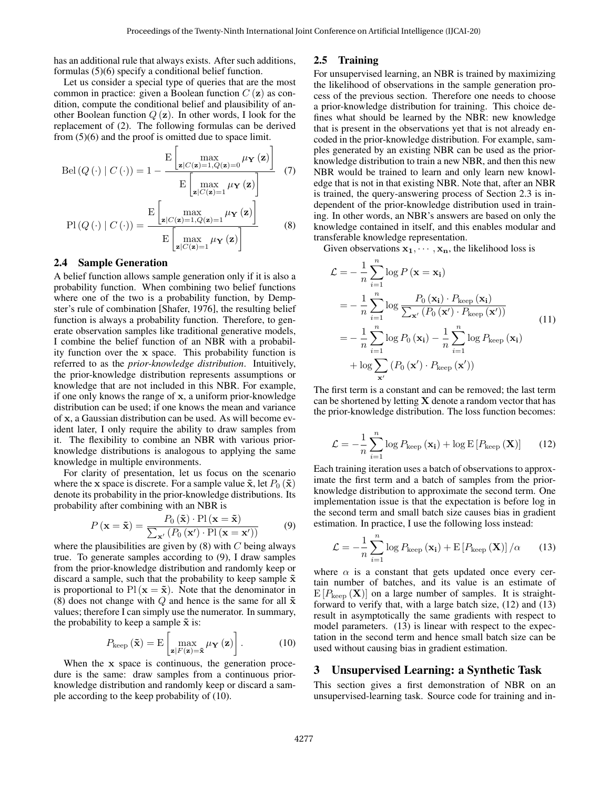has an additional rule that always exists. After such additions, formulas [\(5\)](#page-1-3)[\(6\)](#page-1-4) specify a conditional belief function.

Let us consider a special type of queries that are the most common in practice: given a Boolean function  $C(\mathbf{z})$  as condition, compute the conditional belief and plausibility of another Boolean function  $Q(z)$ . In other words, I look for the replacement of [\(2\)](#page-1-5). The following formulas can be derived from [\(5\)](#page-1-3)[\(6\)](#page-1-4) and the proof is omitted due to space limit.

$$
Bel(Q(\cdot) | C(\cdot)) = 1 - \frac{E\left[\max_{\mathbf{z}|C(\mathbf{z})=1, Q(\mathbf{z})=0} \mu_{\mathbf{Y}}(\mathbf{z})\right]}{E\left[\max_{\mathbf{z}|C(\mathbf{z})=1} \mu_{\mathbf{Y}}(\mathbf{z})\right]}
$$
(7)  

$$
Pl(Q(\cdot) | C(\cdot)) = \frac{E\left[\max_{\mathbf{z}|C(\mathbf{z})=1, Q(\mathbf{z})=1} \mu_{\mathbf{Y}}(\mathbf{z})\right]}{E\left[\max_{\mathbf{z}|C(\mathbf{z})=1} \mu_{\mathbf{Y}}(\mathbf{z})\right]}
$$
(8)

# 2.4 Sample Generation

A belief function allows sample generation only if it is also a probability function. When combining two belief functions where one of the two is a probability function, by Dempster's rule of combination [\[Shafer, 1976\]](#page-7-1), the resulting belief function is always a probability function. Therefore, to generate observation samples like traditional generative models, I combine the belief function of an NBR with a probability function over the x space. This probability function is referred to as the *prior-knowledge distribution*. Intuitively, the prior-knowledge distribution represents assumptions or knowledge that are not included in this NBR. For example, if one only knows the range of x, a uniform prior-knowledge distribution can be used; if one knows the mean and variance of x, a Gaussian distribution can be used. As will become evident later, I only require the ability to draw samples from it. The flexibility to combine an NBR with various priorknowledge distributions is analogous to applying the same knowledge in multiple environments.

For clarity of presentation, let us focus on the scenario where the x space is discrete. For a sample value  $\tilde{\mathbf{x}}$ , let  $P_0(\tilde{\mathbf{x}})$ denote its probability in the prior-knowledge distributions. Its probability after combining with an NBR is

$$
P(\mathbf{x} = \tilde{\mathbf{x}}) = \frac{P_0(\tilde{\mathbf{x}}) \cdot \text{Pl}(\mathbf{x} = \tilde{\mathbf{x}})}{\sum_{\mathbf{x'}} (P_0(\mathbf{x'}) \cdot \text{Pl}(\mathbf{x} = \mathbf{x'}))}
$$
(9)

where the plausibilities are given by  $(8)$  with C being always true. To generate samples according to [\(9\)](#page-2-2), I draw samples from the prior-knowledge distribution and randomly keep or discard a sample, such that the probability to keep sample  $\tilde{x}$ is proportional to Pl ( $\mathbf{x} = \tilde{\mathbf{x}}$ ). Note that the denominator in [\(8\)](#page-2-1) does not change with Q and hence is the same for all  $\tilde{\mathbf{x}}$ values; therefore I can simply use the numerator. In summary, the probability to keep a sample  $\tilde{x}$  is:

<span id="page-2-3"></span>
$$
P_{\text{keep}}\left(\tilde{\mathbf{x}}\right) = \mathrm{E}\left[\max_{\mathbf{z}\mid F\left(\mathbf{z}\right)=\tilde{\mathbf{x}}} \mu_{\mathbf{Y}}\left(\mathbf{z}\right)\right].\tag{10}
$$

When the x space is continuous, the generation procedure is the same: draw samples from a continuous priorknowledge distribution and randomly keep or discard a sample according to the keep probability of [\(10\)](#page-2-3).

# 2.5 Training

For unsupervised learning, an NBR is trained by maximizing the likelihood of observations in the sample generation process of the previous section. Therefore one needs to choose a prior-knowledge distribution for training. This choice defines what should be learned by the NBR: new knowledge that is present in the observations yet that is not already encoded in the prior-knowledge distribution. For example, samples generated by an existing NBR can be used as the priorknowledge distribution to train a new NBR, and then this new NBR would be trained to learn and only learn new knowledge that is not in that existing NBR. Note that, after an NBR is trained, the query-answering process of Section [2.3](#page-1-6) is independent of the prior-knowledge distribution used in training. In other words, an NBR's answers are based on only the knowledge contained in itself, and this enables modular and transferable knowledge representation.

<span id="page-2-7"></span><span id="page-2-1"></span>Given observations  $x_1, \dots, x_n$ , the likelihood loss is

<span id="page-2-6"></span>
$$
\mathcal{L} = -\frac{1}{n} \sum_{i=1}^{n} \log P(\mathbf{x} = \mathbf{x_i})
$$
  
=  $-\frac{1}{n} \sum_{i=1}^{n} \log \frac{P_0(\mathbf{x_i}) \cdot P_{\text{keep}}(\mathbf{x_i})}{\sum_{\mathbf{x'}} (P_0(\mathbf{x'}) \cdot P_{\text{keep}}(\mathbf{x'}))}$   
=  $-\frac{1}{n} \sum_{i=1}^{n} \log P_0(\mathbf{x_i}) - \frac{1}{n} \sum_{i=1}^{n} \log P_{\text{keep}}(\mathbf{x_i})$   
+  $\log \sum_{\mathbf{x'}} (P_0(\mathbf{x'}) \cdot P_{\text{keep}}(\mathbf{x'}))$  (11)

The first term is a constant and can be removed; the last term can be shortened by letting  $X$  denote a random vector that has the prior-knowledge distribution. The loss function becomes:

<span id="page-2-4"></span>
$$
\mathcal{L} = -\frac{1}{n} \sum_{i=1}^{n} \log P_{\text{keep}} \left( \mathbf{x_i} \right) + \log \mathrm{E} \left[ P_{\text{keep}} \left( \mathbf{X} \right) \right] \tag{12}
$$

<span id="page-2-2"></span>Each training iteration uses a batch of observations to approximate the first term and a batch of samples from the priorknowledge distribution to approximate the second term. One implementation issue is that the expectation is before log in the second term and small batch size causes bias in gradient estimation. In practice, I use the following loss instead:

<span id="page-2-5"></span>
$$
\mathcal{L} = -\frac{1}{n} \sum_{i=1}^{n} \log P_{\text{keep}} \left( \mathbf{x}_{i} \right) + \mathrm{E} \left[ P_{\text{keep}} \left( \mathbf{X} \right) \right] / \alpha \qquad (13)
$$

where  $\alpha$  is a constant that gets updated once every certain number of batches, and its value is an estimate of  $E[P_{keep}(\mathbf{X})]$  on a large number of samples. It is straightforward to verify that, with a large batch size, [\(12\)](#page-2-4) and [\(13\)](#page-2-5) result in asymptotically the same gradients with respect to model parameters. [\(13\)](#page-2-5) is linear with respect to the expectation in the second term and hence small batch size can be used without causing bias in gradient estimation.

#### <span id="page-2-0"></span>3 Unsupervised Learning: a Synthetic Task

This section gives a first demonstration of NBR on an unsupervised-learning task. Source code for training and in-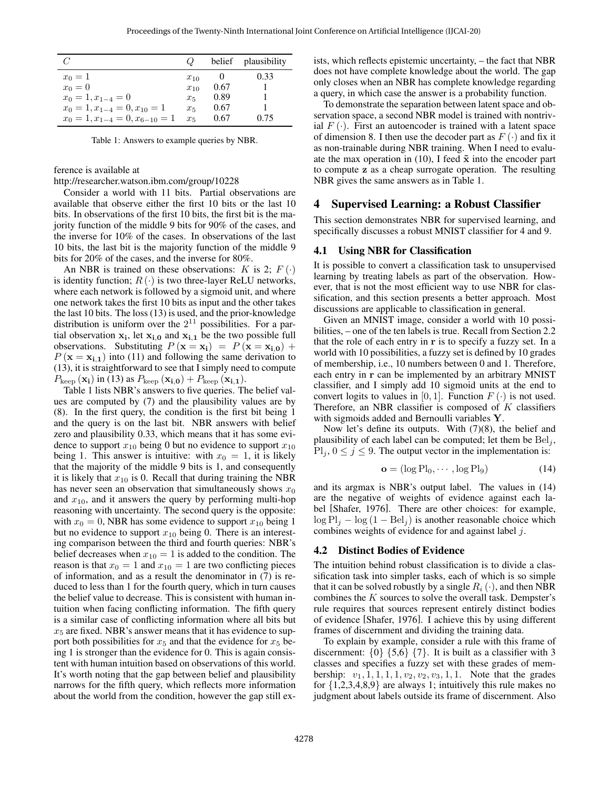<span id="page-3-1"></span>

|                                      | $\omega$ |      | belief plausibility |
|--------------------------------------|----------|------|---------------------|
| $x_0 = 1$                            | $x_{10}$ |      | 0.33                |
| $x_0=0$                              | $x_{10}$ | 0.67 |                     |
| $x_0 = 1, x_{1-4} = 0$               | $x_5$    | 0.89 |                     |
| $x_0 = 1, x_{1-4} = 0, x_{10} = 1$   | $x_{5}$  | 0.67 |                     |
| $x_0 = 1, x_{1-4} = 0, x_{6-10} = 1$ | $x_{5}$  | 0.67 | 0.75                |

Table 1: Answers to example queries by NBR.

ference is available at

<http://researcher.watson.ibm.com/group/10228>

Consider a world with 11 bits. Partial observations are available that observe either the first 10 bits or the last 10 bits. In observations of the first 10 bits, the first bit is the majority function of the middle 9 bits for 90% of the cases, and the inverse for 10% of the cases. In observations of the last 10 bits, the last bit is the majority function of the middle 9 bits for 20% of the cases, and the inverse for 80%.

An NBR is trained on these observations:  $K$  is 2;  $F(\cdot)$ is identity function;  $R(\cdot)$  is two three-layer ReLU networks, where each network is followed by a sigmoid unit, and where one network takes the first 10 bits as input and the other takes the last 10 bits. The loss [\(13\)](#page-2-5) is used, and the prior-knowledge distribution is uniform over the  $2^{11}$  possibilities. For a partial observation  $x_i$ , let  $x_{i,0}$  and  $x_{i,1}$  be the two possible full observations. Substituting  $P(\mathbf{x} = \mathbf{x_i}) = P(\mathbf{x} = \mathbf{x_{i,0}}) +$  $P(\mathbf{x} = \mathbf{x_{i,1}})$  into [\(11\)](#page-2-6) and following the same derivation to [\(13\)](#page-2-5), it is straightforward to see that I simply need to compute  $P_{\text{keep}}(\mathbf{x_i})$  in [\(13\)](#page-2-5) as  $P_{\text{keep}}(\mathbf{x_{i,0}}) + P_{\text{keep}}(\mathbf{x_{i,1}})$ .

Table [1](#page-3-1) lists NBR's answers to five queries. The belief values are computed by [\(7\)](#page-2-7) and the plausibility values are by [\(8\)](#page-2-1). In the first query, the condition is the first bit being 1 and the query is on the last bit. NBR answers with belief zero and plausibility 0.33, which means that it has some evidence to support  $x_{10}$  being 0 but no evidence to support  $x_{10}$ being 1. This answer is intuitive: with  $x_0 = 1$ , it is likely that the majority of the middle 9 bits is 1, and consequently it is likely that  $x_{10}$  is 0. Recall that during training the NBR has never seen an observation that simultaneously shows  $x_0$ and  $x_{10}$ , and it answers the query by performing multi-hop reasoning with uncertainty. The second query is the opposite: with  $x_0 = 0$ , NBR has some evidence to support  $x_{10}$  being 1 but no evidence to support  $x_{10}$  being 0. There is an interesting comparison between the third and fourth queries: NBR's belief decreases when  $x_{10} = 1$  is added to the condition. The reason is that  $x_0 = 1$  and  $x_{10} = 1$  are two conflicting pieces of information, and as a result the denominator in [\(7\)](#page-2-7) is reduced to less than 1 for the fourth query, which in turn causes the belief value to decrease. This is consistent with human intuition when facing conflicting information. The fifth query is a similar case of conflicting information where all bits but  $x_5$  are fixed. NBR's answer means that it has evidence to support both possibilities for  $x_5$  and that the evidence for  $x_5$  being 1 is stronger than the evidence for 0. This is again consistent with human intuition based on observations of this world. It's worth noting that the gap between belief and plausibility narrows for the fifth query, which reflects more information about the world from the condition, however the gap still exists, which reflects epistemic uncertainty, – the fact that NBR does not have complete knowledge about the world. The gap only closes when an NBR has complete knowledge regarding a query, in which case the answer is a probability function.

To demonstrate the separation between latent space and observation space, a second NBR model is trained with nontrivial  $F(\cdot)$ . First an autoencoder is trained with a latent space of dimension 8. I then use the decoder part as  $F(\cdot)$  and fix it as non-trainable during NBR training. When I need to evalu-ate the max operation in [\(10\)](#page-2-3), I feed  $\tilde{x}$  into the encoder part to compute z as a cheap surrogate operation. The resulting NBR gives the same answers as in Table [1.](#page-3-1)

#### <span id="page-3-0"></span>4 Supervised Learning: a Robust Classifier

This section demonstrates NBR for supervised learning, and specifically discusses a robust MNIST classifier for 4 and 9.

### 4.1 Using NBR for Classification

It is possible to convert a classification task to unsupervised learning by treating labels as part of the observation. However, that is not the most efficient way to use NBR for classification, and this section presents a better approach. Most discussions are applicable to classification in general.

Given an MNIST image, consider a world with 10 possibilities, – one of the ten labels is true. Recall from Section [2.2](#page-1-0) that the role of each entry in r is to specify a fuzzy set. In a world with 10 possibilities, a fuzzy set is defined by 10 grades of membership, i.e., 10 numbers between 0 and 1. Therefore, each entry in r can be implemented by an arbitrary MNIST classifier, and I simply add 10 sigmoid units at the end to convert logits to values in [0, 1]. Function  $F(\cdot)$  is not used. Therefore, an NBR classifier is composed of  $K$  classifiers with sigmoids added and Bernoulli variables Y.

Now let's define its outputs. With [\(7\)](#page-2-7)[\(8\)](#page-2-1), the belief and plausibility of each label can be computed; let them be  $Bel<sub>i</sub>$ ,  $Pl_i$ ,  $0 \le j \le 9$ . The output vector in the implementation is:

<span id="page-3-2"></span>
$$
\mathbf{o} = (\log \mathrm{Pl}_0, \cdots, \log \mathrm{Pl}_9) \tag{14}
$$

and its argmax is NBR's output label. The values in [\(14\)](#page-3-2) are the negative of weights of evidence against each label [\[Shafer, 1976\]](#page-7-1). There are other choices: for example,  $\log Pl_i - \log (1 - Bel_i)$  is another reasonable choice which combines weights of evidence for and against label j.

#### <span id="page-3-3"></span>4.2 Distinct Bodies of Evidence

The intuition behind robust classification is to divide a classification task into simpler tasks, each of which is so simple that it can be solved robustly by a single  $R_i(\cdot)$ , and then NBR combines the K sources to solve the overall task. Dempster's rule requires that sources represent entirely distinct bodies of evidence [\[Shafer, 1976\]](#page-7-1). I achieve this by using different frames of discernment and dividing the training data.

To explain by example, consider a rule with this frame of discernment:  $\{0\}$   $\{5,6\}$   $\{7\}$ . It is built as a classifier with 3 classes and specifies a fuzzy set with these grades of membership:  $v_1, 1, 1, 1, 1, v_2, v_2, v_3, 1, 1$ . Note that the grades for  $\{1,2,3,4,8,9\}$  are always 1; intuitively this rule makes no judgment about labels outside its frame of discernment. Also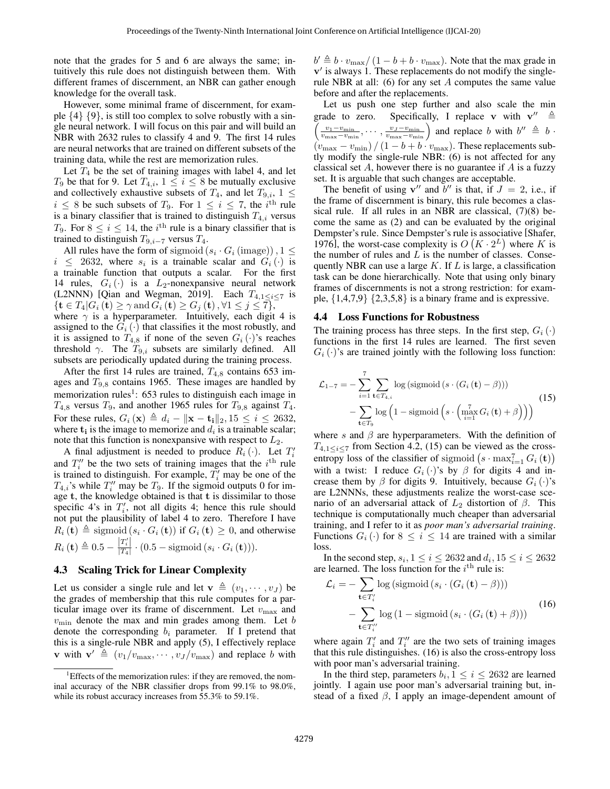note that the grades for 5 and 6 are always the same; intuitively this rule does not distinguish between them. With different frames of discernment, an NBR can gather enough knowledge for the overall task.

However, some minimal frame of discernment, for example  $\{4\}$   $\{9\}$ , is still too complex to solve robustly with a single neural network. I will focus on this pair and will build an NBR with 2632 rules to classify 4 and 9. The first 14 rules are neural networks that are trained on different subsets of the training data, while the rest are memorization rules.

Let  $T_4$  be the set of training images with label 4, and let  $T_9$  be that for 9. Let  $T_{4,i}$ ,  $1 \le i \le 8$  be mutually exclusive and collectively exhaustive subsets of  $T_4$ , and let  $T_{9,i}$ ,  $1 \leq$  $i \leq 8$  be such subsets of  $T_9$ . For  $1 \leq i \leq 7$ , the  $i^{\text{th}}$  rule is a binary classifier that is trained to distinguish  $T_{4,i}$  versus T<sub>9</sub>. For  $8 \le i \le 14$ , the *i*<sup>th</sup> rule is a binary classifier that is trained to distinguish  $T_{9,i-7}$  versus  $T_4$ .

All rules have the form of sigmoid  $(s_i \cdot G_i \text{ (image)})$ ,  $1 \leq$  $i \leq 2632$ , where  $s_i$  is a trainable scalar and  $G_i(\cdot)$  is a trainable function that outputs a scalar. For the first 14 rules,  $G_i(\cdot)$  is a  $L_2$ -nonexpansive neural network (L2NNN) [\[Qian and Wegman, 2019\]](#page-7-3). Each  $T_{4,1 \le i \le 7}$  is  ${\mathbf t} \in T_4 | G_i({\mathbf t}) \ge \gamma \text{ and } G_i({\mathbf t}) \ge G_j({\mathbf t}), \forall 1 \le j \le 7$ , where  $\gamma$  is a hyperparameter. Intuitively, each digit 4 is

assigned to the  $G_i(\cdot)$  that classifies it the most robustly, and it is assigned to  $T_{4,8}$  if none of the seven  $G_i(\cdot)$ 's reaches threshold  $\gamma$ . The  $T_{9,i}$  subsets are similarly defined. All subsets are periodically updated during the training process.

After the first 14 rules are trained,  $T_{4,8}$  contains 653 images and  $T_{9,8}$  contains 1965. These images are handled by memorization rules<sup>[1](#page-4-0)</sup>: 653 rules to distinguish each image in  $T_{4,8}$  versus  $T_9$ , and another 1965 rules for  $T_{9,8}$  against  $T_4$ . For these rules,  $G_i(\mathbf{x}) \triangleq d_i - ||\mathbf{x} - \mathbf{t_i}||_2, 15 \leq i \leq 2632$ , where  $t_i$  is the image to memorize and  $d_i$  is a trainable scalar; note that this function is nonexpansive with respect to  $L_2$ .

A final adjustment is needed to produce  $R_i(\cdot)$ . Let  $T'_i$ and  $T_i''$  be the two sets of training images that the  $i^{\text{th}}$  rule is trained to distinguish. For example,  $\overline{T'_i}$  may be one of the  $T_{4,i}$ 's while  $T''_i$  may be  $T_9$ . If the sigmoid outputs 0 for image t, the knowledge obtained is that t is dissimilar to those specific 4's in  $T_i'$ , not all digits 4; hence this rule should not put the plausibility of label 4 to zero. Therefore I have  $R_i$  (t)  $\triangleq$  sigmoid  $(s_i \cdot G_i(t))$  if  $G_i(t) \geq 0$ , and otherwise  $R_i\left(\mathbf{t}\right) \triangleq 0.5 - \frac{\left|T_i'\right|}{\left|T_A\right|}$  $\frac{|I_{i}|}{|T_{4}|} \cdot (0.5 - \text{sigmoid}(s_{i} \cdot G_{i}(\mathbf{t}))).$ 

# 4.3 Scaling Trick for Linear Complexity

Let us consider a single rule and let  $\mathbf{v} \triangleq (v_1, \dots, v_J)$  be the grades of membership that this rule computes for a particular image over its frame of discernment. Let  $v_{\text{max}}$  and  $v_{\text{min}}$  denote the max and min grades among them. Let  $b$ denote the corresponding  $b_i$  parameter. If I pretend that this is a single-rule NBR and apply [\(5\)](#page-1-3), I effectively replace **v** with  $\mathbf{v}' \triangleq (v_1/v_{\text{max}}, \dots, v_J/v_{\text{max}})$  and replace b with

 $b' \triangleq b \cdot v_{\text{max}} / (1 - b + b \cdot v_{\text{max}})$ . Note that the max grade in  $v'$  is always 1. These replacements do not modify the single-rule NBR at all: [\(6\)](#page-1-4) for any set  $A$  computes the same value before and after the replacements.

Let us push one step further and also scale the min grade to zero. Specifically, I replace v with  $v'' \triangleq$  $\left(\frac{v_1-v_{\min}}{v_{\max}-v_{\min}},\cdots,\frac{v_J-v_{\min}}{v_{\max}-v_{\min}}\right)$  and replace b with  $b'' \triangleq b \cdot$  $(v_{\text{max}} - v_{\text{min}}) / (1 - b + b \cdot v_{\text{max}})$ . These replacements subtly modify the single-rule NBR: [\(6\)](#page-1-4) is not affected for any classical set  $A$ , however there is no guarantee if  $A$  is a fuzzy set. It is arguable that such changes are acceptable.

The benefit of using  $v''$  and  $b''$  is that, if  $J = 2$ , i.e., if the frame of discernment is binary, this rule becomes a classical rule. If all rules in an NBR are classical, [\(7\)](#page-2-7)[\(8\)](#page-2-1) become the same as [\(2\)](#page-1-5) and can be evaluated by the original Dempster's rule. Since Dempster's rule is associative [\[Shafer,](#page-7-1) [1976\]](#page-7-1), the worst-case complexity is  $O(K \cdot 2^L)$  where K is the number of rules and  $L$  is the number of classes. Consequently NBR can use a large  $K$ . If  $L$  is large, a classification task can be done hierarchically. Note that using only binary frames of discernments is not a strong restriction: for example,  $\{1,4,7,9\}$   $\{2,3,5,8\}$  is a binary frame and is expressive.

#### 4.4 Loss Functions for Robustness

The training process has three steps. In the first step,  $G_i(\cdot)$ functions in the first 14 rules are learned. The first seven  $G_i(\cdot)$ 's are trained jointly with the following loss function:

<span id="page-4-1"></span>
$$
\mathcal{L}_{1-7} = -\sum_{i=1}^{7} \sum_{\mathbf{t} \in T_{4,i}} \log \left( \text{sigmoid} \left( s \cdot (G_i(\mathbf{t}) - \beta) \right) \right) \n- \sum_{\mathbf{t} \in T_9} \log \left( 1 - \text{sigmoid} \left( s \cdot \left( \max_{i=1}^{7} G_i(\mathbf{t}) + \beta \right) \right) \right)
$$
\n(15)

where s and  $\beta$  are hyperparameters. With the definition of  $T_{4,1 \leq i \leq 7}$  from Section [4.2,](#page-3-3) [\(15\)](#page-4-1) can be viewed as the crossentropy loss of the classifier of sigmoid  $(s \cdot \max_{i=1}^{7} G_i(\mathbf{t}))$ with a twist: I reduce  $G_i(\cdot)$ 's by  $\beta$  for digits 4 and increase them by  $\beta$  for digits 9. Intuitively, because  $G_i(\cdot)$ 's are L2NNNs, these adjustments realize the worst-case scenario of an adversarial attack of  $L_2$  distortion of  $\beta$ . This technique is computationally much cheaper than adversarial training, and I refer to it as *poor man's adversarial training*. Functions  $G_i(\cdot)$  for  $8 \leq i \leq 14$  are trained with a similar loss.

In the second step,  $s_i$ ,  $1 \le i \le 2632$  and  $d_i$ ,  $15 \le i \le 2632$ are learned. The loss function for the  $i<sup>th</sup>$  rule is:

<span id="page-4-2"></span>
$$
\mathcal{L}_{i} = -\sum_{\mathbf{t} \in T'_{i}} \log \left( \text{sigmoid} \left( s_{i} \cdot (G_{i} \left( \mathbf{t} \right) - \beta \right) \right) \right) \n- \sum_{\mathbf{t} \in T''_{i}} \log \left( 1 - \text{sigmoid} \left( s_{i} \cdot (G_{i} \left( \mathbf{t} \right) + \beta \right) \right)
$$
\n(16)

where again  $T_i'$  and  $T_i''$  are the two sets of training images that this rule distinguishes. [\(16\)](#page-4-2) is also the cross-entropy loss with poor man's adversarial training.

In the third step, parameters  $b_i$ ,  $1 \le i \le 2632$  are learned jointly. I again use poor man's adversarial training but, instead of a fixed  $\beta$ , I apply an image-dependent amount of

<span id="page-4-0"></span><sup>&</sup>lt;sup>1</sup>Effects of the memorization rules: if they are removed, the nominal accuracy of the NBR classifier drops from 99.1% to 98.0%, while its robust accuracy increases from 55.3% to 59.1%.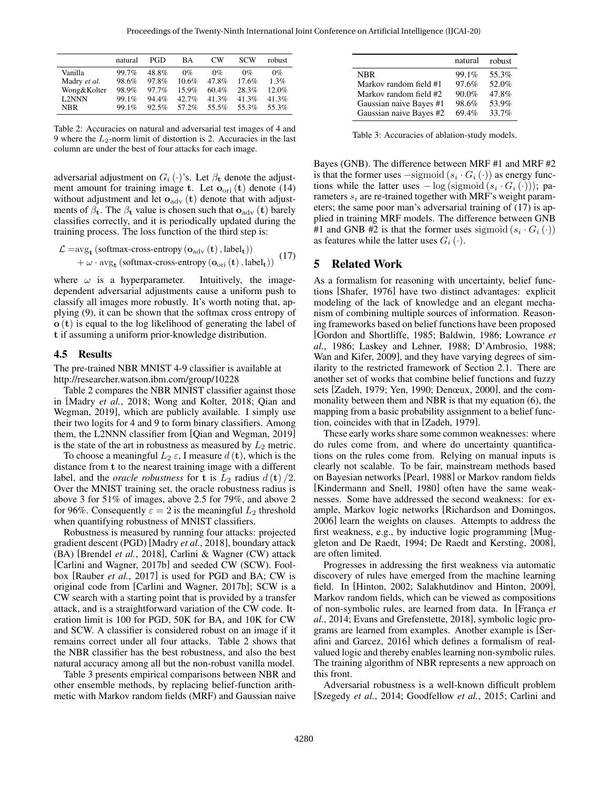<span id="page-5-1"></span>

|              | natural | PGD      | ВA       | СW    | SCW   | robust |
|--------------|---------|----------|----------|-------|-------|--------|
| Vanilla      | 99.7%   | 48.8%    | $0\%$    | $0\%$ | $0\%$ | $0\%$  |
| Madry et al. | 98.6%   | 97.8%    | 10.6%    | 47.8% | 17.6% | 1.3%   |
| Wong&Kolter  | 98.9%   | 97.7%    | 15.9%    | 60.4% | 28.3% | 12.0%  |
| L2NNN        | 99.1%   | $94.4\%$ | $42.7\%$ | 41.3% | 41.3% | 41.3%  |
| NBR          | 99.1%   | 92.5%    | 57.2%    | 55.5% | 55.3% | 55.3%  |
|              |         |          |          |       |       |        |

Table 2: Accuracies on natural and adversarial test images of 4 and 9 where the  $L_2$ -norm limit of distortion is 2. Accuracies in the last column are under the best of four attacks for each image.

adversarial adjustment on  $G_i(\cdot)$ 's. Let  $\beta_t$  denote the adjustment amount for training image t. Let  $o_{\text{ori}}(t)$  denote [\(14\)](#page-3-2) without adjustment and let  $o_{\text{adv}}(t)$  denote that with adjustments of  $\beta_t$ . The  $\beta_t$  value is chosen such that  $o_{\text{adv}}(t)$  barely classifies correctly, and it is periodically updated during the training process. The loss function of the third step is:

$$
\begin{aligned} \mathcal{L} = & \arg_{\mathbf{t}} \left( \text{softmax-cross-entropy} \left( \mathbf{o}_{\text{adv}} \left( \mathbf{t} \right), \text{label}_{\mathbf{t}} \right) \right) \\ & + \omega \cdot \text{avg}_{\mathbf{t}} \left( \text{softmax-cross-entropy} \left( \mathbf{o}_{\text{ori}} \left( \mathbf{t} \right), \text{label}_{\mathbf{t}} \right) \right) \end{aligned} \tag{17}
$$

where  $\omega$  is a hyperparameter. Intuitively, the imagedependent adversarial adjustments cause a uniform push to classify all images more robustly. It's worth noting that, applying [\(9\)](#page-2-2), it can be shown that the softmax cross entropy of o (t) is equal to the log likelihood of generating the label of t if assuming a uniform prior-knowledge distribution.

#### 4.5 Results

The pre-trained NBR MNIST 4-9 classifier is available at <http://researcher.watson.ibm.com/group/10228>

Table [2](#page-5-1) compares the NBR MNIST classifier against those in [\[Madry](#page-6-1) *et al.*, 2018; [Wong and Kolter, 2018;](#page-7-4) [Qian and](#page-7-3) [Wegman, 2019\]](#page-7-3), which are publicly available. I simply use their two logits for 4 and 9 to form binary classifiers. Among them, the L2NNN classifier from [\[Qian and Wegman, 2019\]](#page-7-3) is the state of the art in robustness as measured by  $L_2$  metric.

To choose a meaningful  $L_2 \varepsilon$ , I measure  $d(\mathbf{t})$ , which is the distance from t to the nearest training image with a different label, and the *oracle robustness* for **t** is  $L_2$  radius  $d(\mathbf{t})/2$ . Over the MNIST training set, the oracle robustness radius is above 3 for 51% of images, above 2.5 for 79%, and above 2 for 96%. Consequently  $\varepsilon = 2$  is the meaningful  $L_2$  threshold when quantifying robustness of MNIST classifiers.

Robustness is measured by running four attacks: projected gradient descent (PGD) [\[Madry](#page-6-1) *et al.*, 2018], boundary attack (BA) [\[Brendel](#page-6-2) *et al.*, 2018], Carlini & Wagner (CW) attack [\[Carlini and Wagner, 2017b\]](#page-6-3) and seeded CW (SCW). Foolbox [\[Rauber](#page-7-5) *et al.*, 2017] is used for PGD and BA; CW is original code from [\[Carlini and Wagner, 2017b\]](#page-6-3); SCW is a CW search with a starting point that is provided by a transfer attack, and is a straightforward variation of the CW code. Iteration limit is 100 for PGD, 50K for BA, and 10K for CW and SCW. A classifier is considered robust on an image if it remains correct under all four attacks. Table [2](#page-5-1) shows that the NBR classifier has the best robustness, and also the best natural accuracy among all but the non-robust vanilla model.

Table [3](#page-5-2) presents empirical comparisons between NBR and other ensemble methods, by replacing belief-function arithmetic with Markov random fields (MRF) and Gaussian naive

<span id="page-5-2"></span>

|                         | natural robust |       |
|-------------------------|----------------|-------|
| <b>NBR</b>              | 99.1%          | 55.3% |
| Markov random field #1  | 97.6%          | 52.0% |
| Markov random field #2  | 90.0%          | 47.8% |
| Gaussian naive Bayes #1 | 98.6%          | 53.9% |
| Gaussian naive Bayes #2 | 69.4%          | 33.7% |

Table 3: Accuracies of ablation-study models.

Bayes (GNB). The difference between MRF #1 and MRF #2 is that the former uses  $-\text{sigmoid}(s_i \cdot G_i(\cdot))$  as energy functions while the latter uses  $-\log$  (sigmoid  $(s_i \cdot G_i(\cdot))$ ); parameters  $s_i$  are re-trained together with MRF's weight parameters; the same poor man's adversarial training of [\(17\)](#page-5-3) is applied in training MRF models. The difference between GNB #1 and GNB #2 is that the former uses sigmoid  $(s_i \cdot G_i(\cdot))$ as features while the latter uses  $G_i(\cdot)$ .

# <span id="page-5-3"></span><span id="page-5-0"></span>5 Related Work

As a formalism for reasoning with uncertainty, belief functions [\[Shafer, 1976\]](#page-7-1) have two distinct advantages: explicit modeling of the lack of knowledge and an elegant mechanism of combining multiple sources of information. Reasoning frameworks based on belief functions have been proposed [\[Gordon and Shortliffe, 1985;](#page-6-4) [Baldwin, 1986;](#page-6-5) [Lowrance](#page-6-6) *et al.*[, 1986;](#page-6-6) [Laskey and Lehner, 1988;](#page-6-7) [D'Ambrosio, 1988;](#page-6-8) [Wan and Kifer, 2009\]](#page-7-6), and they have varying degrees of similarity to the restricted framework of Section [2.1.](#page-0-0) There are another set of works that combine belief functions and fuzzy sets [\[Zadeh, 1979;](#page-7-7) [Yen, 1990;](#page-7-8) [Denœux, 2000\]](#page-6-9), and the commonality between them and NBR is that my equation [\(6\)](#page-1-4), the mapping from a basic probability assignment to a belief function, coincides with that in [\[Zadeh, 1979\]](#page-7-7).

These early works share some common weaknesses: where do rules come from, and where do uncertainty quantifications on the rules come from. Relying on manual inputs is clearly not scalable. To be fair, mainstream methods based on Bayesian networks [\[Pearl, 1988\]](#page-7-9) or Markov random fields [\[Kindermann and Snell, 1980\]](#page-6-10) often have the same weaknesses. Some have addressed the second weakness: for example, Markov logic networks [\[Richardson and Domingos,](#page-7-10) [2006\]](#page-7-10) learn the weights on clauses. Attempts to address the first weakness, e.g., by inductive logic programming [\[Mug](#page-6-11)[gleton and De Raedt, 1994;](#page-6-11) [De Raedt and Kersting, 2008\]](#page-6-12), are often limited.

Progresses in addressing the first weakness via automatic discovery of rules have emerged from the machine learning field. In [\[Hinton, 2002;](#page-6-13) [Salakhutdinov and Hinton, 2009\]](#page-7-0), Markov random fields, which can be viewed as compositions of non-symbolic rules, are learned from data. In [França *et al.*[, 2014;](#page-6-14) [Evans and Grefenstette, 2018\]](#page-6-0), symbolic logic programs are learned from examples. Another example is [\[Ser](#page-7-11)[afini and Garcez, 2016\]](#page-7-11) which defines a formalism of realvalued logic and thereby enables learning non-symbolic rules. The training algorithm of NBR represents a new approach on this front.

Adversarial robustness is a well-known difficult problem [\[Szegedy](#page-7-12) *et al.*, 2014; [Goodfellow](#page-6-15) *et al.*, 2015; [Carlini and](#page-6-3)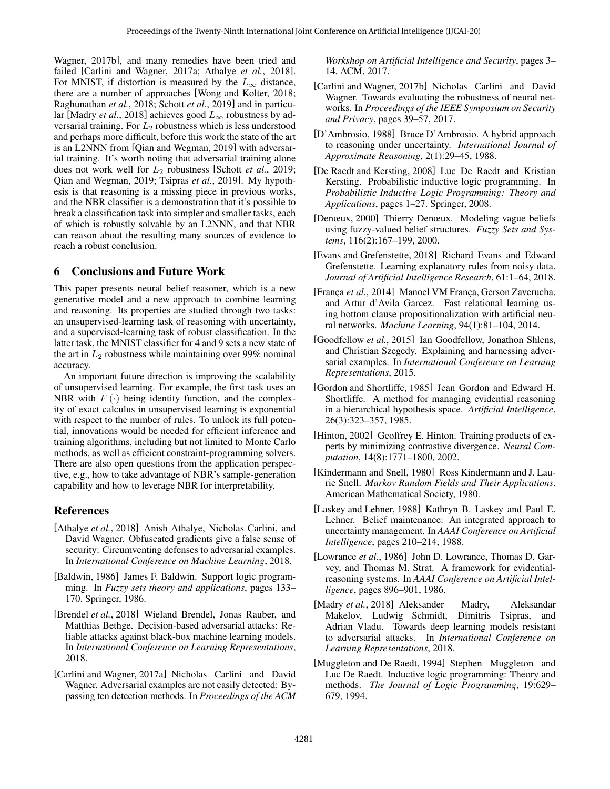[Wagner, 2017b\]](#page-6-3), and many remedies have been tried and failed [\[Carlini and Wagner, 2017a;](#page-6-16) [Athalye](#page-6-17) *et al.*, 2018]. For MNIST, if distortion is measured by the  $L_{\infty}$  distance, there are a number of approaches [\[Wong and Kolter, 2018;](#page-7-4) [Raghunathan](#page-7-13) *et al.*, 2018; Schott *et al.*[, 2019\]](#page-7-14) and in particu-lar [\[Madry](#page-6-1) *et al.*, 2018] achieves good  $L_{\infty}$  robustness by adversarial training. For  $L_2$  robustness which is less understood and perhaps more difficult, before this work the state of the art is an L2NNN from [\[Qian and Wegman, 2019\]](#page-7-3) with adversarial training. It's worth noting that adversarial training alone does not work well for  $L_2$  robustness [\[Schott](#page-7-14) *et al.*, 2019; [Qian and Wegman, 2019;](#page-7-3) [Tsipras](#page-7-15) *et al.*, 2019]. My hypothesis is that reasoning is a missing piece in previous works, and the NBR classifier is a demonstration that it's possible to break a classification task into simpler and smaller tasks, each of which is robustly solvable by an L2NNN, and that NBR can reason about the resulting many sources of evidence to reach a robust conclusion.

# 6 Conclusions and Future Work

This paper presents neural belief reasoner, which is a new generative model and a new approach to combine learning and reasoning. Its properties are studied through two tasks: an unsupervised-learning task of reasoning with uncertainty, and a supervised-learning task of robust classification. In the latter task, the MNIST classifier for 4 and 9 sets a new state of the art in  $L_2$  robustness while maintaining over 99% nominal accuracy.

An important future direction is improving the scalability of unsupervised learning. For example, the first task uses an NBR with  $F(\cdot)$  being identity function, and the complexity of exact calculus in unsupervised learning is exponential with respect to the number of rules. To unlock its full potential, innovations would be needed for efficient inference and training algorithms, including but not limited to Monte Carlo methods, as well as efficient constraint-programming solvers. There are also open questions from the application perspective, e.g., how to take advantage of NBR's sample-generation capability and how to leverage NBR for interpretability.

# References

- <span id="page-6-17"></span>[Athalye *et al.*, 2018] Anish Athalye, Nicholas Carlini, and David Wagner. Obfuscated gradients give a false sense of security: Circumventing defenses to adversarial examples. In *International Conference on Machine Learning*, 2018.
- <span id="page-6-5"></span>[Baldwin, 1986] James F. Baldwin. Support logic programming. In *Fuzzy sets theory and applications*, pages 133– 170. Springer, 1986.
- <span id="page-6-2"></span>[Brendel *et al.*, 2018] Wieland Brendel, Jonas Rauber, and Matthias Bethge. Decision-based adversarial attacks: Reliable attacks against black-box machine learning models. In *International Conference on Learning Representations*, 2018.
- <span id="page-6-16"></span>[Carlini and Wagner, 2017a] Nicholas Carlini and David Wagner. Adversarial examples are not easily detected: Bypassing ten detection methods. In *Proceedings of the ACM*

*Workshop on Artificial Intelligence and Security*, pages 3– 14. ACM, 2017.

- <span id="page-6-3"></span>[Carlini and Wagner, 2017b] Nicholas Carlini and David Wagner. Towards evaluating the robustness of neural networks. In *Proceedings of the IEEE Symposium on Security and Privacy*, pages 39–57, 2017.
- <span id="page-6-8"></span>[D'Ambrosio, 1988] Bruce D'Ambrosio. A hybrid approach to reasoning under uncertainty. *International Journal of Approximate Reasoning*, 2(1):29–45, 1988.
- <span id="page-6-12"></span>[De Raedt and Kersting, 2008] Luc De Raedt and Kristian Kersting. Probabilistic inductive logic programming. In *Probabilistic Inductive Logic Programming: Theory and Applications*, pages 1–27. Springer, 2008.
- <span id="page-6-9"></span>[Denœux, 2000] Thierry Denœux. Modeling vague beliefs using fuzzy-valued belief structures. *Fuzzy Sets and Systems*, 116(2):167–199, 2000.
- <span id="page-6-0"></span>[Evans and Grefenstette, 2018] Richard Evans and Edward Grefenstette. Learning explanatory rules from noisy data. *Journal of Artificial Intelligence Research*, 61:1–64, 2018.
- <span id="page-6-14"></span>[França et al., 2014] Manoel VM França, Gerson Zaverucha, and Artur d'Avila Garcez. Fast relational learning using bottom clause propositionalization with artificial neural networks. *Machine Learning*, 94(1):81–104, 2014.
- <span id="page-6-15"></span>[Goodfellow *et al.*, 2015] Ian Goodfellow, Jonathon Shlens, and Christian Szegedy. Explaining and harnessing adversarial examples. In *International Conference on Learning Representations*, 2015.
- <span id="page-6-4"></span>[Gordon and Shortliffe, 1985] Jean Gordon and Edward H. Shortliffe. A method for managing evidential reasoning in a hierarchical hypothesis space. *Artificial Intelligence*, 26(3):323–357, 1985.
- <span id="page-6-13"></span>[Hinton, 2002] Geoffrey E. Hinton. Training products of experts by minimizing contrastive divergence. *Neural Computation*, 14(8):1771–1800, 2002.
- <span id="page-6-10"></span>[Kindermann and Snell, 1980] Ross Kindermann and J. Laurie Snell. *Markov Random Fields and Their Applications*. American Mathematical Society, 1980.
- <span id="page-6-7"></span>[Laskey and Lehner, 1988] Kathryn B. Laskey and Paul E. Lehner. Belief maintenance: An integrated approach to uncertainty management. In *AAAI Conference on Artificial Intelligence*, pages 210–214, 1988.
- <span id="page-6-6"></span>[Lowrance *et al.*, 1986] John D. Lowrance, Thomas D. Garvey, and Thomas M. Strat. A framework for evidentialreasoning systems. In *AAAI Conference on Artificial Intelligence*, pages 896–901, 1986.
- <span id="page-6-1"></span>[Madry *et al.*, 2018] Aleksander Madry, Aleksandar Makelov, Ludwig Schmidt, Dimitris Tsipras, and Adrian Vladu. Towards deep learning models resistant to adversarial attacks. In *International Conference on Learning Representations*, 2018.
- <span id="page-6-11"></span>[Muggleton and De Raedt, 1994] Stephen Muggleton and Luc De Raedt. Inductive logic programming: Theory and methods. *The Journal of Logic Programming*, 19:629– 679, 1994.